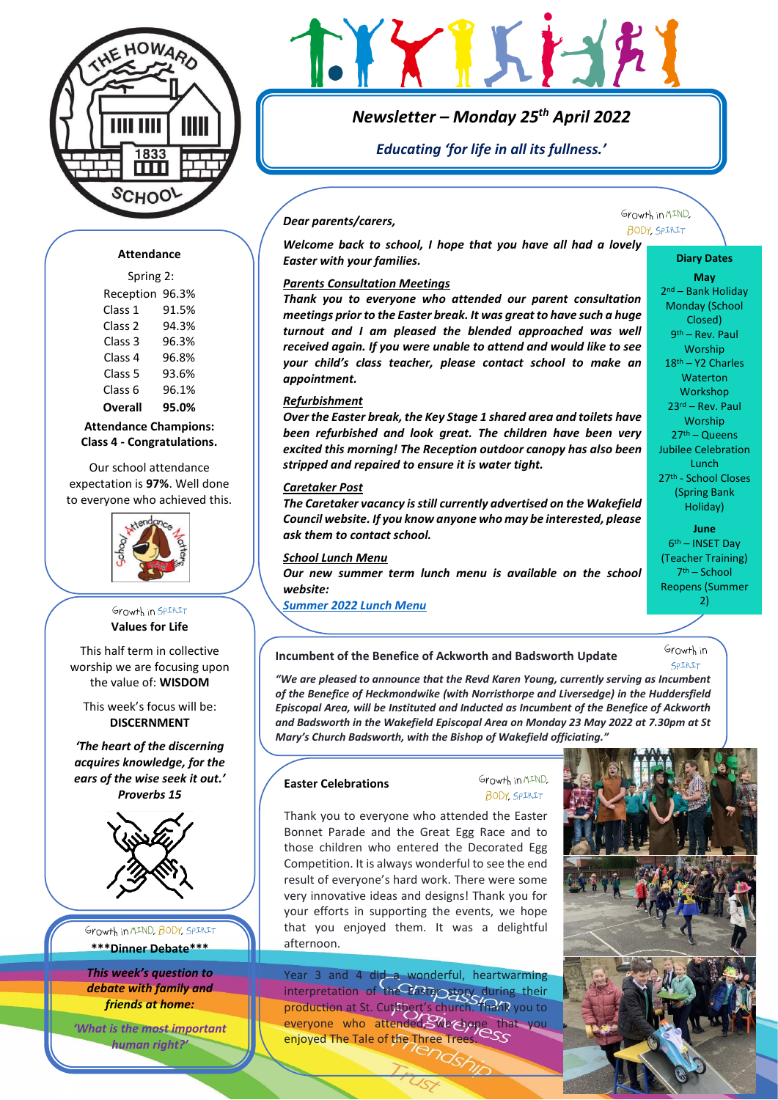

# $\{X\}$ Krah

# *Newsletter – Monday 25th April 2022*

*Educating 'for life in all its fullness.'*

# *Dear parents/carers,*

Growth in MIND. **BODY SPIRIT** 

> **Diary Dates May** 2 nd – Bank Holiday Monday (School Closed) 9<sup>th</sup> – Rev. Paul Worship 18th – Y2 Charles **Waterton** Workshop 23rd – Rev. Paul Worship 27th – Queens Jubilee Celebration Lunch 27th - School Closes (Spring Bank Holiday) **June**  6 th – INSET Day (Teacher Training) 7 th – School Reopens (Summer 2)

# **Attendance**

## Spring 2:

| Reception 96.3% |
|-----------------|
| 91.5%           |
| 94.3%           |
| 96.3%           |
| 96.8%           |
| 93.6%           |
| 96.1%           |
| 95.0%           |
|                 |

**Attendance Champions: Class 4 - Congratulations.**

Our school attendance expectation is **97%**. Well done to everyone who achieved this.



# Growth in SPIRIT **Values for Life**

This half term in collective worship we are focusing upon the value of: **WISDOM**

This week's focus will be: **DISCERNMENT**

*'The heart of the discerning acquires knowledge, for the ears of the wise seek it out.' Proverbs 15*



Growth in MIND, BODY, SPIRIT

**\*\*\*Dinner Debate\*\*\***

*This week's question to debate with family and friends at home:* 

*'What is the most important human right?'*

# *Parents Consultation Meetings*

*Easter with your families.* 

*Thank you to everyone who attended our parent consultation meetings prior to the Easter break. It was great to have such a huge turnout and I am pleased the blended approached was well received again. If you were unable to attend and would like to see your child's class teacher, please contact school to make an appointment.*

*Welcome back to school, I hope that you have all had a lovely* 

# *Refurbishment*

*Over the Easter break, the Key Stage 1 shared area and toilets have been refurbished and look great. The children have been very excited this morning! The Reception outdoor canopy has also been stripped and repaired to ensure it is water tight.* 

# *Caretaker Post*

*The Caretaker vacancy is still currently advertised on the Wakefield Council website. If you know anyone who may be interested, please ask them to contact school.*

# *School Lunch Menu*

*Our new summer term lunch menu is available on the school website:*

*[Summer 2022 Lunch Menu](https://www.ackworthhowardschool.co.uk/sites/default/files/uploads/media/files/summer-2022.pdf)*

**Incumbent of the Benefice of Ackworth and Badsworth Update**

Growth in COTRTT

*"We are pleased to announce that the Revd Karen Young, currently serving as Incumbent of the Benefice of Heckmondwike (with Norristhorpe and Liversedge) in the Huddersfield Episcopal Area, will be Instituted and Inducted as Incumbent of the Benefice of Ackworth and Badsworth in the Wakefield Episcopal Area on Monday 23 May 2022 at 7.30pm at St Mary's Church Badsworth, with the Bishop of Wakefield officiating."*

# **Easter Celebrations**

# Growth in MIND. **BODY**, SPIRIT

Thank you to everyone who attended the Easter Bonnet Parade and the Great Egg Race and to those children who entered the Decorated Egg Competition. It is always wonderful to see the end result of everyone's hard work. There were some very innovative ideas and designs! Thank you for your efforts in supporting the events, we hope that you enjoyed them. It was a delightful afternoon.

Year 3 and 4 did a wonderful, heartwarming interpretation of the Easter story during their production at St. Cuthbert's church. Thank you to everyone who attended, We hope that you enjoyed The Tale of the Three Trees.